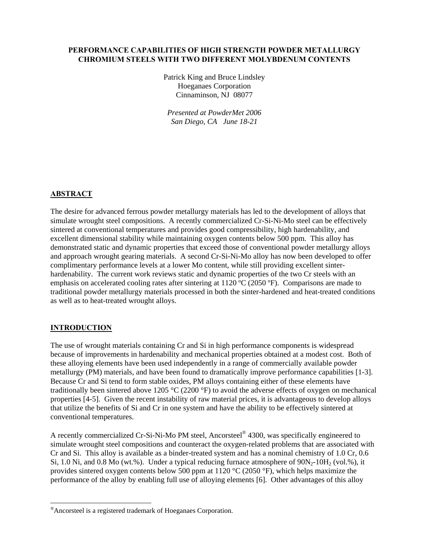## **PERFORMANCE CAPABILITIES OF HIGH STRENGTH POWDER METALLURGY CHROMIUM STEELS WITH TWO DIFFERENT MOLYBDENUM CONTENTS**

Patrick King and Bruce Lindsley Hoeganaes Corporation Cinnaminson, NJ 08077

*Presented at PowderMet 2006 San Diego, CA June 18-21*

#### **ABSTRACT**

The desire for advanced ferrous powder metallurgy materials has led to the development of alloys that simulate wrought steel compositions. A recently commercialized Cr-Si-Ni-Mo steel can be effectively sintered at conventional temperatures and provides good compressibility, high hardenability, and excellent dimensional stability while maintaining oxygen contents below 500 ppm. This alloy has demonstrated static and dynamic properties that exceed those of conventional powder metallurgy alloys and approach wrought gearing materials. A second Cr-Si-Ni-Mo alloy has now been developed to offer complimentary performance levels at a lower Mo content, while still providing excellent sinterhardenability. The current work reviews static and dynamic properties of the two Cr steels with an emphasis on accelerated cooling rates after sintering at 1120 °C (2050 °F). Comparisons are made to traditional powder metallurgy materials processed in both the sinter-hardened and heat-treated conditions as well as to heat-treated wrought alloys.

# **INTRODUCTION**

The use of wrought materials containing Cr and Si in high performance components is widespread because of improvements in hardenability and mechanical properties obtained at a modest cost. Both of these alloying elements have been used independently in a range of commercially available powder metallurgy (PM) materials, and have been found to dramatically improve performance capabilities [1-3]. Because Cr and Si tend to form stable oxides, PM alloys containing either of these elements have traditionally been sintered above 1205 °C (2200 °F) to avoid the adverse effects of oxygen on mechanical properties [4-5]. Given the recent instability of raw material prices, it is advantageous to develop alloys that utilize the benefits of Si and Cr in one system and have the ability to be effectively sintered at conventional temperatures.

A recently commercialized Cr-Si-Ni-Mo PM steel, Ancorsteel[®](#page-0-0) 4300, was specifically engineered to simulate wrought steel compositions and counteract the oxygen-related problems that are associated with Cr and Si. This alloy is available as a binder-treated system and has a nominal chemistry of 1.0 Cr, 0.6 Si, 1.0 Ni, and 0.8 Mo (wt.%). Under a typical reducing furnace atmosphere of  $90N<sub>2</sub>-10H<sub>2</sub>$  (vol.%), it provides sintered oxygen contents below 500 ppm at 1120 °C (2050 °F), which helps maximize the performance of the alloy by enabling full use of alloying elements [6]. Other advantages of this alloy

<span id="page-0-0"></span><sup>®</sup>Ancorsteel is a registered trademark of Hoeganaes Corporation.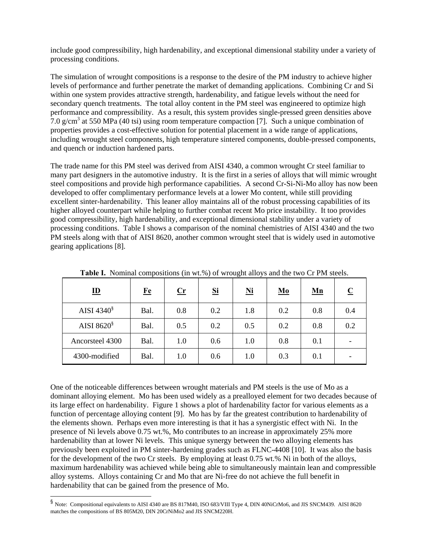include good compressibility, high hardenability, and exceptional dimensional stability under a variety of processing conditions.

The simulation of wrought compositions is a response to the desire of the PM industry to achieve higher levels of performance and further penetrate the market of demanding applications. Combining Cr and Si within one system provides attractive strength, hardenability, and fatigue levels without the need for secondary quench treatments. The total alloy content in the PM steel was engineered to optimize high performance and compressibility. As a result, this system provides single-pressed green densities above  $7.0$  g/cm<sup>3</sup> at 550 MPa (40 tsi) using room temperature compaction [7]. Such a unique combination of properties provides a cost-effective solution for potential placement in a wide range of applications, including wrought steel components, high temperature sintered components, double-pressed components, and quench or induction hardened parts.

The trade name for this PM steel was derived from AISI 4340, a common wrought Cr steel familiar to many part designers in the automotive industry. It is the first in a series of alloys that will mimic wrought steel compositions and provide high performance capabilities. A second Cr-Si-Ni-Mo alloy has now been developed to offer complimentary performance levels at a lower Mo content, while still providing excellent sinter-hardenability. This leaner alloy maintains all of the robust processing capabilities of its higher alloyed counterpart while helping to further combat recent Mo price instability. It too provides good compressibility, high hardenability, and exceptional dimensional stability under a variety of processing conditions. Table I shows a comparison of the nominal chemistries of AISI 4340 and the two PM steels along with that of AISI 8620, another common wrought steel that is widely used in automotive gearing applications [8].

| $\underline{\mathbf{ID}}$  | $Fe$ | $\mathbf{C}\mathbf{r}$ | <u>Si</u> | $\underline{\text{Ni}}$ | $\underline{\mathbf{M}}$ o | $\underline{\mathbf{M}}\mathbf{n}$ |     |
|----------------------------|------|------------------------|-----------|-------------------------|----------------------------|------------------------------------|-----|
| AISI 4340 $\frac{8}{3}$    | Bal. | 0.8                    | 0.2       | 1.8                     | 0.2                        | 0.8                                | 0.4 |
| AISI 8620 $\mathrm{^{\$}}$ | Bal. | 0.5                    | 0.2       | 0.5                     | 0.2                        | 0.8                                | 0.2 |
| Ancorsteel 4300            | Bal. | 1.0                    | 0.6       | 1.0                     | 0.8                        | 0.1                                |     |
| 4300-modified              | Bal. | 1.0                    | 0.6       | 1.0                     | 0.3                        | 0.1                                |     |

**Table I.** Nominal compositions (in wt.%) of wrought alloys and the two Cr PM steels.

One of the noticeable differences between wrought materials and PM steels is the use of Mo as a dominant alloying element. Mo has been used widely as a prealloyed element for two decades because of its large effect on hardenability. Figure 1 shows a plot of hardenability factor for various elements as a function of percentage alloying content [9]. Mo has by far the greatest contribution to hardenability of the elements shown. Perhaps even more interesting is that it has a synergistic effect with Ni. In the presence of Ni levels above 0.75 wt.%, Mo contributes to an increase in approximately 25% more hardenability than at lower Ni levels. This unique synergy between the two alloying elements has previously been exploited in PM sinter-hardening grades such as FLNC-4408 [10]. It was also the basis for the development of the two Cr steels. By employing at least 0.75 wt.% Ni in both of the alloys, maximum hardenability was achieved while being able to simultaneously maintain lean and compressible alloy systems. Alloys containing Cr and Mo that are Ni-free do not achieve the full benefit in hardenability that can be gained from the presence of Mo.

<span id="page-1-0"></span> <sup>§</sup> Note: Compositional equivalents to AISI 4340 are BS 817M40, ISO 683/VIII Type 4, DIN 40NiCrMo6, and JIS SNCM439. AISI 8620 matches the compositions of BS 805M20, DIN 20CrNiMo2 and JIS SNCM220H.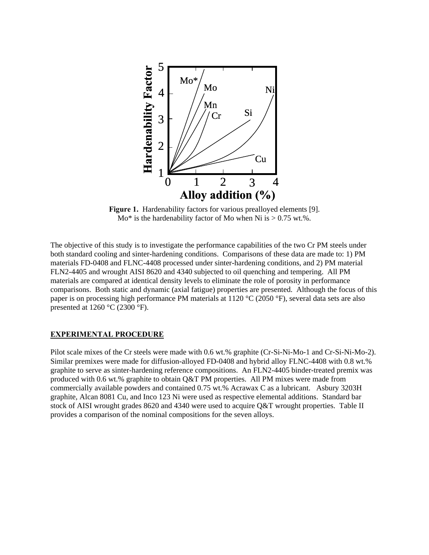

**Figure 1.** Hardenability factors for various prealloyed elements [9].  $Mo^*$  is the hardenability factor of Mo when Ni is  $> 0.75$  wt.%.

The objective of this study is to investigate the performance capabilities of the two Cr PM steels under both standard cooling and sinter-hardening conditions. Comparisons of these data are made to: 1) PM materials FD-0408 and FLNC-4408 processed under sinter-hardening conditions, and 2) PM material FLN2-4405 and wrought AISI 8620 and 4340 subjected to oil quenching and tempering. All PM materials are compared at identical density levels to eliminate the role of porosity in performance comparisons. Both static and dynamic (axial fatigue) properties are presented. Although the focus of this paper is on processing high performance PM materials at 1120 °C (2050 °F), several data sets are also presented at 1260  $\degree$ C (2300  $\degree$ F).

#### **EXPERIMENTAL PROCEDURE**

Pilot scale mixes of the Cr steels were made with 0.6 wt.% graphite (Cr-Si-Ni-Mo-1 and Cr-Si-Ni-Mo-2). Similar premixes were made for diffusion-alloyed FD-0408 and hybrid alloy FLNC-4408 with 0.8 wt.% graphite to serve as sinter-hardening reference compositions. An FLN2-4405 binder-treated premix was produced with 0.6 wt.% graphite to obtain Q&T PM properties. All PM mixes were made from commercially available powders and contained 0.75 wt.% Acrawax C as a lubricant. Asbury 3203H graphite, Alcan 8081 Cu, and Inco 123 Ni were used as respective elemental additions. Standard bar stock of AISI wrought grades 8620 and 4340 were used to acquire Q&T wrought properties. Table II provides a comparison of the nominal compositions for the seven alloys.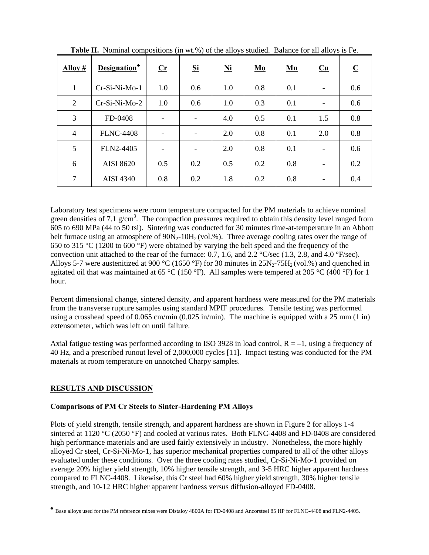| Alloy #        | Designation*     | $\mathbf{C}$ r           | <b>Si</b>                | Ni  | Mo  | Mn  | $Cu$                     | $\overline{\mathbf{C}}$ |
|----------------|------------------|--------------------------|--------------------------|-----|-----|-----|--------------------------|-------------------------|
| 1              | Cr-Si-Ni-Mo-1    | 1.0                      | 0.6                      | 1.0 | 0.8 | 0.1 | $\overline{\phantom{a}}$ | 0.6                     |
| 2              | Cr-Si-Ni-Mo-2    | 1.0                      | 0.6                      | 1.0 | 0.3 | 0.1 | $\overline{\phantom{a}}$ | 0.6                     |
| 3              | FD-0408          |                          | $\overline{\phantom{0}}$ | 4.0 | 0.5 | 0.1 | 1.5                      | 0.8                     |
| $\overline{4}$ | <b>FLNC-4408</b> | $\overline{\phantom{0}}$ | $\overline{\phantom{a}}$ | 2.0 | 0.8 | 0.1 | 2.0                      | 0.8                     |
| 5              | FLN2-4405        | $\overline{\phantom{0}}$ | $\overline{\phantom{a}}$ | 2.0 | 0.8 | 0.1 | $\overline{\phantom{a}}$ | 0.6                     |
| 6              | <b>AISI 8620</b> | 0.5                      | 0.2                      | 0.5 | 0.2 | 0.8 | $\overline{\phantom{a}}$ | 0.2                     |
| 7              | <b>AISI 4340</b> | 0.8                      | 0.2                      | 1.8 | 0.2 | 0.8 | $\overline{\phantom{0}}$ | 0.4                     |

**Table II.** Nominal compositions (in wt.%) of the alloys studied. Balance for all alloys is Fe.

Laboratory test specimens were room temperature compacted for the PM materials to achieve nominal green densities of 7.1  $g/cm<sup>3</sup>$ . The compaction pressures required to obtain this density level ranged from 605 to 690 MPa (44 to 50 tsi). Sintering was conducted for 30 minutes time-at-temperature in an Abbott belt furnace using an atmosphere of  $90N_2$ -10H<sub>2</sub> (vol.%). Three average cooling rates over the range of 650 to 315 °C (1200 to 600 °F) were obtained by varying the belt speed and the frequency of the convection unit attached to the rear of the furnace: 0.7, 1.6, and 2.2 °C/sec (1.3, 2.8, and 4.0 °F/sec). Alloys 5-7 were austenitized at 900 °C (1650 °F) for 30 minutes in  $25N_2$ -75H<sub>2</sub> (vol.%) and quenched in agitated oil that was maintained at 65 °C (150 °F). All samples were tempered at 205 °C (400 °F) for 1 hour.

Percent dimensional change, sintered density, and apparent hardness were measured for the PM materials from the transverse rupture samples using standard MPIF procedures. Tensile testing was performed using a crosshead speed of 0.065 cm/min (0.025 in/min). The machine is equipped with a 25 mm (1 in) extensometer, which was left on until failure.

Axial fatigue testing was performed according to ISO 3928 in load control,  $R = -1$ , using a frequency of 40 Hz, and a prescribed runout level of 2,000,000 cycles [11]. Impact testing was conducted for the PM materials at room temperature on unnotched Charpy samples.

# **RESULTS AND DISCUSSION**

#### **Comparisons of PM Cr Steels to Sinter-Hardening PM Alloys**

Plots of yield strength, tensile strength, and apparent hardness are shown in Figure 2 for alloys 1-4 sintered at 1120 °C (2050 °F) and cooled at various rates. Both FLNC-4408 and FD-0408 are considered high performance materials and are used fairly extensively in industry. Nonetheless, the more highly alloyed Cr steel, Cr-Si-Ni-Mo-1, has superior mechanical properties compared to all of the other alloys evaluated under these conditions. Over the three cooling rates studied, Cr-Si-Ni-Mo-1 provided on average 20% higher yield strength, 10% higher tensile strength, and 3-5 HRC higher apparent hardness compared to FLNC-4408. Likewise, this Cr steel had 60% higher yield strength, 30% higher tensile strength, and 10-12 HRC higher apparent hardness versus diffusion-alloyed FD-0408.

<span id="page-3-0"></span>♣ Base alloys used for the PM reference mixes were Distaloy 4800A for FD-0408 and Ancorsteel 85 HP for FLNC-4408 and FLN2-4405.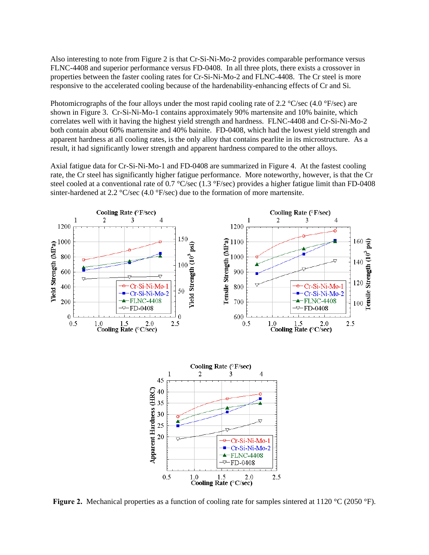Also interesting to note from Figure 2 is that Cr-Si-Ni-Mo-2 provides comparable performance versus FLNC-4408 and superior performance versus FD-0408. In all three plots, there exists a crossover in properties between the faster cooling rates for Cr-Si-Ni-Mo-2 and FLNC-4408. The Cr steel is more responsive to the accelerated cooling because of the hardenability-enhancing effects of Cr and Si.

Photomicrographs of the four alloys under the most rapid cooling rate of 2.2  $\degree$ C/sec (4.0  $\degree$ F/sec) are shown in Figure 3. Cr-Si-Ni-Mo-1 contains approximately 90% martensite and 10% bainite, which correlates well with it having the highest yield strength and hardness. FLNC-4408 and Cr-Si-Ni-Mo-2 both contain about 60% martensite and 40% bainite. FD-0408, which had the lowest yield strength and apparent hardness at all cooling rates, is the only alloy that contains pearlite in its microstructure. As a result, it had significantly lower strength and apparent hardness compared to the other alloys.

Axial fatigue data for Cr-Si-Ni-Mo-1 and FD-0408 are summarized in Figure 4. At the fastest cooling rate, the Cr steel has significantly higher fatigue performance. More noteworthy, however, is that the Cr steel cooled at a conventional rate of 0.7  $\textdegree$ C/sec (1.3  $\textdegree$ F/sec) provides a higher fatigue limit than FD-0408 sinter-hardened at 2.2 °C/sec (4.0 °F/sec) due to the formation of more martensite.



**Figure 2.** Mechanical properties as a function of cooling rate for samples sintered at 1120 °C (2050 °F).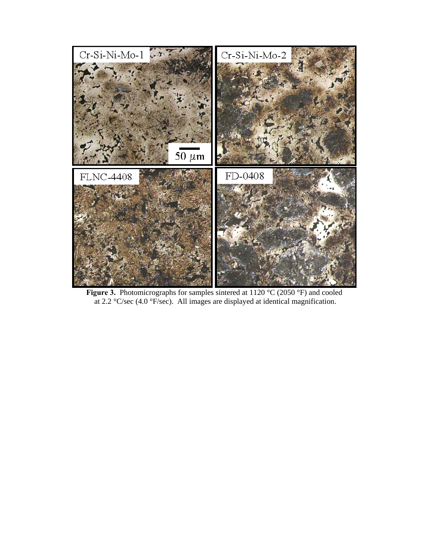

**Figure 3.** Photomicrographs for samples sintered at 1120 °C (2050 °F) and cooled at 2.2 °C/sec (4.0 °F/sec). All images are displayed at identical magnification.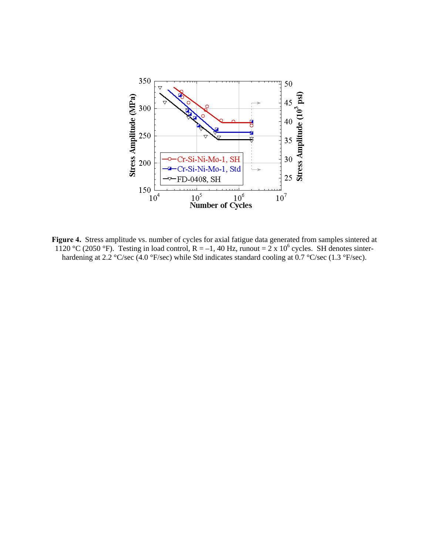

**Figure 4.** Stress amplitude vs. number of cycles for axial fatigue data generated from samples sintered at 1120 °C (2050 °F). Testing in load control,  $R = -1$ , 40 Hz, runout = 2 x 10<sup>6</sup> cycles. SH denotes sinterhardening at 2.2 °C/sec (4.0 °F/sec) while Std indicates standard cooling at 0.7 °C/sec (1.3 °F/sec).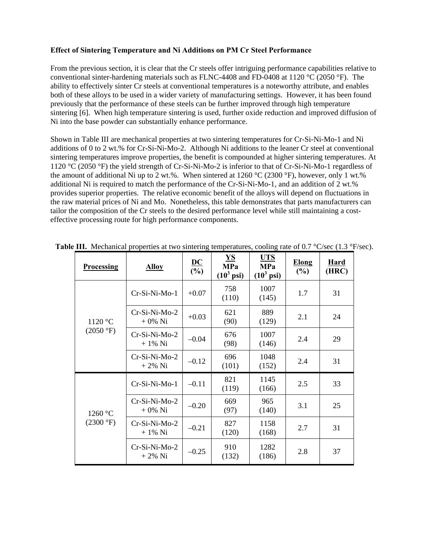## **Effect of Sintering Temperature and Ni Additions on PM Cr Steel Performance**

From the previous section, it is clear that the Cr steels offer intriguing performance capabilities relative to conventional sinter-hardening materials such as FLNC-4408 and FD-0408 at 1120 °C (2050 °F). The ability to effectively sinter Cr steels at conventional temperatures is a noteworthy attribute, and enables both of these alloys to be used in a wider variety of manufacturing settings. However, it has been found previously that the performance of these steels can be further improved through high temperature sintering [6]. When high temperature sintering is used, further oxide reduction and improved diffusion of Ni into the base powder can substantially enhance performance.

Shown in Table III are mechanical properties at two sintering temperatures for Cr-Si-Ni-Mo-1 and Ni additions of 0 to 2 wt.% for Cr-Si-Ni-Mo-2. Although Ni additions to the leaner Cr steel at conventional sintering temperatures improve properties, the benefit is compounded at higher sintering temperatures. At 1120 °C (2050 °F) the yield strength of Cr-Si-Ni-Mo-2 is inferior to that of Cr-Si-Ni-Mo-1 regardless of the amount of additional Ni up to 2 wt.%. When sintered at 1260 °C (2300 °F), however, only 1 wt.% additional Ni is required to match the performance of the Cr-Si-Ni-Mo-1, and an addition of 2 wt.% provides superior properties. The relative economic benefit of the alloys will depend on fluctuations in the raw material prices of Ni and Mo. Nonetheless, this table demonstrates that parts manufacturers can tailor the composition of the Cr steels to the desired performance level while still maintaining a costeffective processing route for high performance components.

| <b>Processing</b>              | <b>Alloy</b>                 | $\underline{\mathbf{DC}}$<br>(%) | <b>YS</b><br><b>MPa</b><br>$(10^3 \text{ psi})$ | <b>UTS</b><br><b>MPa</b><br>$(10^3 \,\text{psi})$ | <b>Elong</b><br>(%) | <b>Hard</b><br>(HRC) |
|--------------------------------|------------------------------|----------------------------------|-------------------------------------------------|---------------------------------------------------|---------------------|----------------------|
| 1120 °C<br>$(2050 \text{ °F})$ | Cr-Si-Ni-Mo-1                | $+0.07$                          | 758<br>(110)                                    | 1007<br>(145)                                     | 1.7                 | 31                   |
|                                | $Cr-Si-Ni-Mo-2$<br>$+0\%$ Ni | $+0.03$                          | 621<br>(90)                                     | 889<br>(129)                                      | 2.1                 | 24                   |
|                                | Cr-Si-Ni-Mo-2<br>$+1\%$ Ni   | $-0.04$                          | 676<br>(98)                                     | 1007<br>(146)                                     | 2.4                 | 29                   |
|                                | $Cr-Si-Ni-Mo-2$<br>$+2\%$ Ni | $-0.12$                          | 696<br>(101)                                    | 1048<br>(152)                                     | 2.4                 | 31                   |
| 1260 °C<br>(2300 °F)           | Cr-Si-Ni-Mo-1                | $-0.11$                          | 821<br>(119)                                    | 1145<br>(166)                                     | 2.5                 | 33                   |
|                                | $Cr-Si-Ni-Mo-2$<br>$+0\%$ Ni | $-0.20$                          | 669<br>(97)                                     | 965<br>(140)                                      | 3.1                 | 25                   |
|                                | $Cr-Si-Ni-Mo-2$<br>+ 1% Ni   | $-0.21$                          | 827<br>(120)                                    | 1158<br>(168)                                     | 2.7                 | 31                   |
|                                | Cr-Si-Ni-Mo-2<br>+ 2% Ni     | $-0.25$                          | 910<br>(132)                                    | 1282<br>(186)                                     | 2.8                 | 37                   |

**Table III.** Mechanical properties at two sintering temperatures, cooling rate of 0.7 °C/sec (1.3 °F/sec).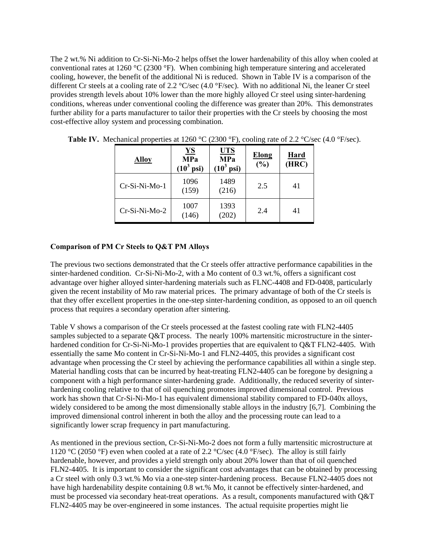The 2 wt.% Ni addition to Cr-Si-Ni-Mo-2 helps offset the lower hardenability of this alloy when cooled at conventional rates at 1260 °C (2300 °F). When combining high temperature sintering and accelerated cooling, however, the benefit of the additional Ni is reduced. Shown in Table IV is a comparison of the different Cr steels at a cooling rate of 2.2 °C/sec (4.0 °F/sec). With no additional Ni, the leaner Cr steel provides strength levels about 10% lower than the more highly alloyed Cr steel using sinter-hardening conditions, whereas under conventional cooling the difference was greater than 20%. This demonstrates further ability for a parts manufacturer to tailor their properties with the Cr steels by choosing the most cost-effective alloy system and processing combination.

| <b>Alloy</b>  | $\underline{\mathbf{YS}}$<br><b>MPa</b><br>$(10^3 \text{ psi})$ | <b>UTS</b><br><b>MPa</b><br>$(10^3 \text{ psi})$ | <b>Elong</b><br>(%) | Hard<br>(HRC) |
|---------------|-----------------------------------------------------------------|--------------------------------------------------|---------------------|---------------|
| Cr-Si-Ni-Mo-1 | 1096<br>(159)                                                   | 1489<br>(216)                                    | 2.5                 | 41            |
| Cr-Si-Ni-Mo-2 | 1007<br>(146)                                                   | 1393<br>202)                                     | 2.4                 | 41            |

**Table IV.** Mechanical properties at 1260 °C (2300 °F), cooling rate of 2.2 °C/sec (4.0 °F/sec).

## **Comparison of PM Cr Steels to Q&T PM Alloys**

The previous two sections demonstrated that the Cr steels offer attractive performance capabilities in the sinter-hardened condition. Cr-Si-Ni-Mo-2, with a Mo content of 0.3 wt.%, offers a significant cost advantage over higher alloyed sinter-hardening materials such as FLNC-4408 and FD-0408, particularly given the recent instability of Mo raw material prices. The primary advantage of both of the Cr steels is that they offer excellent properties in the one-step sinter-hardening condition, as opposed to an oil quench process that requires a secondary operation after sintering.

Table V shows a comparison of the Cr steels processed at the fastest cooling rate with FLN2-4405 samples subjected to a separate Q&T process. The nearly 100% martensitic microstructure in the sinterhardened condition for Cr-Si-Ni-Mo-1 provides properties that are equivalent to Q&T FLN2-4405. With essentially the same Mo content in Cr-Si-Ni-Mo-1 and FLN2-4405, this provides a significant cost advantage when processing the Cr steel by achieving the performance capabilities all within a single step. Material handling costs that can be incurred by heat-treating FLN2-4405 can be foregone by designing a component with a high performance sinter-hardening grade. Additionally, the reduced severity of sinterhardening cooling relative to that of oil quenching promotes improved dimensional control. Previous work has shown that Cr-Si-Ni-Mo-1 has equivalent dimensional stability compared to FD-040x alloys, widely considered to be among the most dimensionally stable alloys in the industry [6,7]. Combining the improved dimensional control inherent in both the alloy and the processing route can lead to a significantly lower scrap frequency in part manufacturing.

As mentioned in the previous section, Cr-Si-Ni-Mo-2 does not form a fully martensitic microstructure at 1120 °C (2050 °F) even when cooled at a rate of 2.2 °C/sec (4.0 °F/sec). The alloy is still fairly hardenable, however, and provides a yield strength only about 20% lower than that of oil quenched FLN2-4405. It is important to consider the significant cost advantages that can be obtained by processing a Cr steel with only 0.3 wt.% Mo via a one-step sinter-hardening process. Because FLN2-4405 does not have high hardenability despite containing 0.8 wt.% Mo, it cannot be effectively sinter-hardened, and must be processed via secondary heat-treat operations. As a result, components manufactured with Q&T FLN2-4405 may be over-engineered in some instances. The actual requisite properties might lie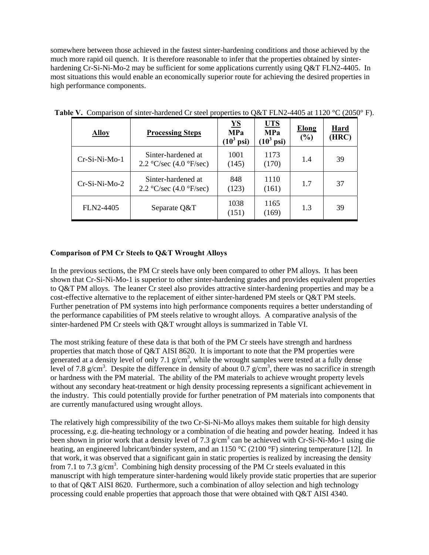somewhere between those achieved in the fastest sinter-hardening conditions and those achieved by the much more rapid oil quench. It is therefore reasonable to infer that the properties obtained by sinterhardening Cr-Si-Ni-Mo-2 may be sufficient for some applications currently using Q&T FLN2-4405. In most situations this would enable an economically superior route for achieving the desired properties in high performance components.

| <b>Alloy</b>    | <b>Processing Steps</b>                                                 | $\underline{\mathbf{YS}}$<br><b>MPa</b><br>$(10^3 \text{ psi})$ | <u>UTS</u><br><b>MPa</b><br>$(10^3 \text{ psi})$ | <b>Elong</b><br>(%) | Hard<br>(HRC) |
|-----------------|-------------------------------------------------------------------------|-----------------------------------------------------------------|--------------------------------------------------|---------------------|---------------|
| $Cr-Si-Ni-Mo-1$ | Sinter-hardened at<br>2.2 $\textdegree$ C/sec (4.0 $\textdegree$ F/sec) | 1001<br>(145)                                                   | 1173<br>(170)                                    | 1.4                 | 39            |
| $Cr-Si-Ni-Mo-2$ | Sinter-hardened at<br>2.2 $\textdegree$ C/sec (4.0 $\textdegree$ F/sec) | 848<br>(123)                                                    | 1110<br>(161)                                    | 1.7                 | 37            |
| FLN2-4405       | Separate Q&T                                                            | 1038<br>(151)                                                   | 1165<br>(169)                                    | 1.3                 | 39            |

Table V. Comparison of sinter-hardened Cr steel properties to Q&T FLN2-4405 at 1120 °C (2050° F).

# **Comparison of PM Cr Steels to Q&T Wrought Alloys**

In the previous sections, the PM Cr steels have only been compared to other PM alloys. It has been shown that Cr-Si-Ni-Mo-1 is superior to other sinter-hardening grades and provides equivalent properties to Q&T PM alloys. The leaner Cr steel also provides attractive sinter-hardening properties and may be a cost-effective alternative to the replacement of either sinter-hardened PM steels or Q&T PM steels. Further penetration of PM systems into high performance components requires a better understanding of the performance capabilities of PM steels relative to wrought alloys. A comparative analysis of the sinter-hardened PM Cr steels with Q&T wrought alloys is summarized in Table VI.

The most striking feature of these data is that both of the PM Cr steels have strength and hardness properties that match those of Q&T AISI 8620. It is important to note that the PM properties were generated at a density level of only 7.1  $g/cm<sup>3</sup>$ , while the wrought samples were tested at a fully dense level of 7.8 g/cm<sup>3</sup>. Despite the difference in density of about 0.7 g/cm<sup>3</sup>, there was no sacrifice in strength or hardness with the PM material. The ability of the PM materials to achieve wrought property levels without any secondary heat-treatment or high density processing represents a significant achievement in the industry. This could potentially provide for further penetration of PM materials into components that are currently manufactured using wrought alloys.

The relatively high compressibility of the two Cr-Si-Ni-Mo alloys makes them suitable for high density processing, e.g. die-heating technology or a combination of die heating and powder heating. Indeed it has been shown in prior work that a density level of 7.3  $g/cm<sup>3</sup>$  can be achieved with Cr-Si-Ni-Mo-1 using die heating, an engineered lubricant/binder system, and an 1150 °C (2100 °F) sintering temperature [12]. In that work, it was observed that a significant gain in static properties is realized by increasing the density from 7.1 to 7.3  $g/cm<sup>3</sup>$ . Combining high density processing of the PM Cr steels evaluated in this manuscript with high temperature sinter-hardening would likely provide static properties that are superior to that of Q&T AISI 8620. Furthermore, such a combination of alloy selection and high technology processing could enable properties that approach those that were obtained with Q&T AISI 4340.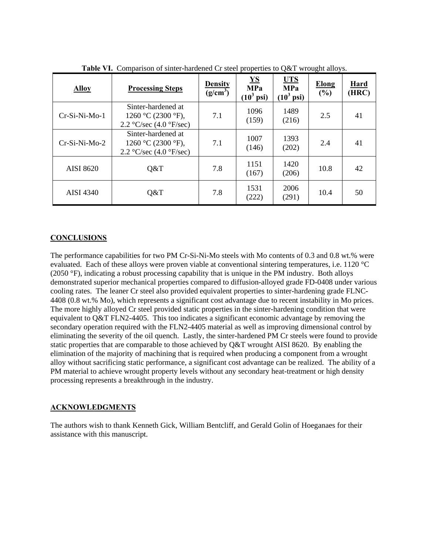| <b>Alloy</b>     | <b>Processing Steps</b>                                                                  | <b>Density</b><br>$(g/cm^3)$ | $\underline{\mathbf{YS}}$<br><b>MPa</b><br>$(10^3 \text{ psi})$ | <b>UTS</b><br><b>MPa</b><br>$(10^3 \text{ psi})$ | <b>Elong</b><br>$(\%)$ | Hard<br>(HRC) |
|------------------|------------------------------------------------------------------------------------------|------------------------------|-----------------------------------------------------------------|--------------------------------------------------|------------------------|---------------|
| $Cr-Si-Ni-Mo-1$  | Sinter-hardened at<br>1260 °C (2300 °F),<br>2.2 °C/sec $(4.0 \degree$ F/sec)             | 7.1                          | 1096<br>(159)                                                   | 1489<br>(216)                                    | 2.5                    | 41            |
| $Cr-Si-Ni-Mo-2$  | Sinter-hardened at<br>1260 °C (2300 °F),<br>2.2 $\mathrm{C/sec}$ (4.0 $\mathrm{F/sec}$ ) | 7.1                          | 1007<br>(146)                                                   | 1393<br>(202)                                    | 2.4                    | 41            |
| <b>AISI 8620</b> | Q&T                                                                                      | 7.8                          | 1151<br>(167)                                                   | 1420<br>(206)                                    | 10.8                   | 42            |
| AISI 4340        | Q&T                                                                                      | 7.8                          | 1531<br>(222)                                                   | 2006<br>(291)                                    | 10.4                   | 50            |

**Table VI.** Comparison of sinter-hardened Cr steel properties to Q&T wrought alloys.

## **CONCLUSIONS**

The performance capabilities for two PM Cr-Si-Ni-Mo steels with Mo contents of 0.3 and 0.8 wt.% were evaluated. Each of these alloys were proven viable at conventional sintering temperatures, i.e. 1120 °C (2050 °F), indicating a robust processing capability that is unique in the PM industry. Both alloys demonstrated superior mechanical properties compared to diffusion-alloyed grade FD-0408 under various cooling rates. The leaner Cr steel also provided equivalent properties to sinter-hardening grade FLNC-4408 (0.8 wt.% Mo), which represents a significant cost advantage due to recent instability in Mo prices. The more highly alloyed Cr steel provided static properties in the sinter-hardening condition that were equivalent to Q&T FLN2-4405. This too indicates a significant economic advantage by removing the secondary operation required with the FLN2-4405 material as well as improving dimensional control by eliminating the severity of the oil quench. Lastly, the sinter-hardened PM Cr steels were found to provide static properties that are comparable to those achieved by Q&T wrought AISI 8620. By enabling the elimination of the majority of machining that is required when producing a component from a wrought alloy without sacrificing static performance, a significant cost advantage can be realized. The ability of a PM material to achieve wrought property levels without any secondary heat-treatment or high density processing represents a breakthrough in the industry.

#### **ACKNOWLEDGMENTS**

The authors wish to thank Kenneth Gick, William Bentcliff, and Gerald Golin of Hoeganaes for their assistance with this manuscript.